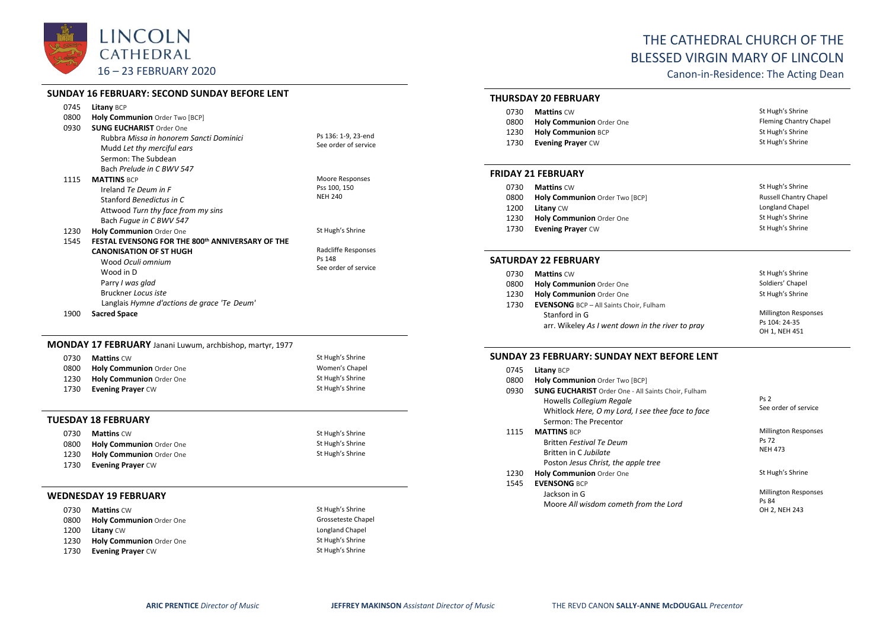

#### **SUNDAY 16 FEBRUARY: SECOND SUNDAY BEFORE LENT**

| 0745 | <b>Litany BCP</b>                                |                      |
|------|--------------------------------------------------|----------------------|
| 0800 | Holy Communion Order Two [BCP]                   |                      |
| 0930 | <b>SUNG EUCHARIST Order One</b>                  |                      |
|      | Rubbra Missa in honorem Sancti Dominici          | Ps 136: 1-9, 23-end  |
|      | Mudd Let thy merciful ears                       | See order of service |
|      | Sermon: The Subdean                              |                      |
|      | Bach Prelude in C BWV 547                        |                      |
| 1115 | <b>MATTINS BCP</b>                               | Moore Responses      |
|      | Ireland Te Deum in F                             | Pss 100, 150         |
|      | Stanford Benedictus in C                         | <b>NEH 240</b>       |
|      | Attwood Turn thy face from my sins               |                      |
|      | Bach Fugue in C BWV 547                          |                      |
| 1230 | Holy Communion Order One                         | St Hugh's Shrine     |
| 1545 | FESTAL EVENSONG FOR THE 800th ANNIVERSARY OF THE |                      |
|      | <b>CANONISATION OF ST HUGH</b>                   | Radcliffe Responses  |
|      | Wood Oculi omnium                                | Ps 148               |
|      | Wood in D                                        | See order of service |
|      | Parry I was glad                                 |                      |
|      | Bruckner Locus iste                              |                      |
|      | Langlais Hymne d'actions de grace 'Te Deum'      |                      |

1900 **Sacred Space**

## **MONDAY 17 FEBRUARY** Janani Luwum, archbishop, martyr, 1977

| 0730 | <b>Mattins CW</b>               | St Hugh's Shrine |
|------|---------------------------------|------------------|
| 0800 | Holy Communion Order One        | Women's Chapel   |
| 1230 | <b>Holy Communion</b> Order One | St Hugh's Shrine |
| 1730 | <b>Evening Prayer CW</b>        | St Hugh's Shrine |

#### **TUESDAY 18 FEBRUARY**

| 0730 | <b>Mattins</b> CW        | St Hugh's Shrine |
|------|--------------------------|------------------|
| 0800 | Holy Communion Order One | St Hugh's Shrine |
| 1230 | Holy Communion Order One | St Hugh's Shrine |
| 1730 | <b>Evening Prayer CW</b> |                  |

#### **WEDNESDAY 19 FEBRUARY**

| 0730 | <b>Mattins CW</b>               | St Hugh's Shrine   |
|------|---------------------------------|--------------------|
| 0800 | <b>Holy Communion Order One</b> | Grosseteste Chapel |
| 1200 | <b>Litany CW</b>                | Longland Chapel    |
| 1230 | <b>Holy Communion Order One</b> | St Hugh's Shrine   |
| 1730 | <b>Evening Prayer CW</b>        | St Hugh's Shrine   |

## THE CATHEDRAL CHURCH OF THE BLESSED VIRGIN MARY OF LINCOLN

Canon-in-Residence: The Acting Dean

## **THURSDAY 20 FEBRUARY**

| 0730 | <b>Mattins</b> CW         | St Hugh's Shrine       |
|------|---------------------------|------------------------|
| 0800 | Holy Communion Order One  | Fleming Chantry Chapel |
| 1230 | <b>Holy Communion BCP</b> | St Hugh's Shrine       |
| 1730 | <b>Evening Prayer CW</b>  | St Hugh's Shrine       |

#### **FRIDAY 21 FEBRUARY**

| 0730 | <b>Mattins CW</b>              | St Hugh's Shrine              |
|------|--------------------------------|-------------------------------|
| 0800 | Holy Communion Order Two [BCP] | <b>Russell Chantry Chapel</b> |
| 1200 | <b>Litany CW</b>               | Longland Chapel               |
| 1230 | Holy Communion Order One       | St Hugh's Shrine              |
| 1730 | <b>Evening Praver CW</b>       | St Hugh's Shrine              |

#### **SATURDAY 22 FEBRUARY**

| 0730 | <b>Mattins CW</b>                                | St Hugh's Shrine            |
|------|--------------------------------------------------|-----------------------------|
| 0800 | <b>Holy Communion Order One</b>                  | Soldiers' Chapel            |
| 1230 | Holy Communion Order One                         | St Hugh's Shrine            |
| 1730 | <b>EVENSONG</b> BCP - All Saints Choir, Fulham   |                             |
|      | Stanford in G                                    | <b>Millington Responses</b> |
|      | arr. Wikeley As I went down in the river to pray | Ps 104: 24-35               |
|      |                                                  | OH 1. NEH 451               |

## **SUNDAY 23 FEBRUARY: SUNDAY NEXT BEFORE LENT**

| 0745 | <b>Litany BCP</b>                                                                                                                                                    |                                                        |
|------|----------------------------------------------------------------------------------------------------------------------------------------------------------------------|--------------------------------------------------------|
| 0800 | Holy Communion Order Two [BCP]                                                                                                                                       |                                                        |
| 0930 | <b>SUNG EUCHARIST</b> Order One - All Saints Choir, Fulham<br>Howells Collegium Regale<br>Whitlock Here, O my Lord, I see thee face to face<br>Sermon: The Precentor | Ps <sub>2</sub><br>See order of service                |
| 1115 | <b>MATTINS BCP</b><br><b>Britten Festival Te Deum</b><br>Britten in C Jubilate<br>Poston Jesus Christ, the apple tree                                                | <b>Millington Responses</b><br>Ps 72<br><b>NEH 473</b> |
| 1230 | <b>Holy Communion Order One</b>                                                                                                                                      | St Hugh's Shrine                                       |
| 1545 | <b>EVENSONG BCP</b><br>Jackson in G<br>Moore All wisdom cometh from the Lord                                                                                         | <b>Millington Responses</b><br>Ps 84<br>OH 2, NEH 243  |